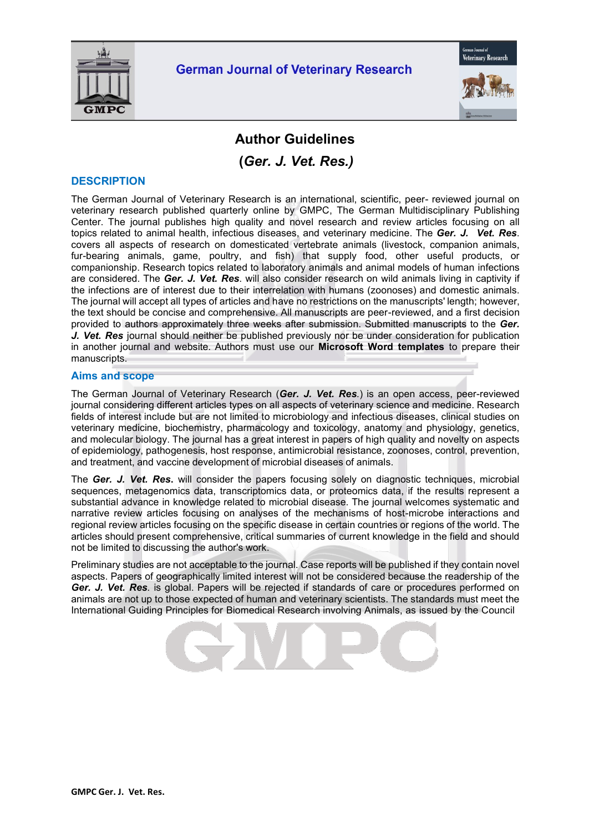



# **Author Guidelines**

**(***Ger. J. Vet. Res.)*

### **DESCRIPTION**

The German Journal of Veterinary Research is an international, scientific, peer- reviewed journal on veterinary research published quarterly online by GMPC, The German Multidisciplinary Publishing Center. The journal publishes high quality and novel research and review articles focusing on all topics related to animal health, infectious diseases, and veterinary medicine. The *Ger. J. Vet. Res*. covers all aspects of research on domesticated vertebrate animals (livestock, companion animals, fur-bearing animals, game, poultry, and fish) that supply food, other useful products, or companionship. Research topics related to laboratory animals and animal models of human infections are considered. The *Ger. J. Vet. Res*. will also consider research on wild animals living in captivity if the infections are of interest due to their interrelation with humans (zoonoses) and domestic animals. The journal will accept all types of articles and have no restrictions on the manuscripts' length; however, the text should be concise and comprehensive. All manuscripts are peer-reviewed, and a first decision provided to authors approximately three weeks after submission. Submitted manuscripts to the *Ger. J. Vet. Res* journal should neither be published previously nor be under consideration for publication in another journal and website. Authors must use our **Microsoft Word templates** to prepare their manuscripts.

### **Aims and scope**

The German Journal of Veterinary Research (*Ger. J. Vet. Res.*) is an open access, peer-reviewed journal considering different articles types on all aspects of veterinary science and medicine. Research fields of interest include but are not limited to microbiology and infectious diseases, clinical studies on veterinary medicine, biochemistry, pharmacology and toxicology, anatomy and physiology, genetics, and molecular biology. The journal has a great interest in papers of high quality and novelty on aspects of epidemiology, pathogenesis, host response, antimicrobial resistance, zoonoses, control, prevention, and treatment, and vaccine development of microbial diseases of animals.

The *Ger. J. Vet. Res***.** will consider the papers focusing solely on diagnostic techniques, microbial sequences, metagenomics data, transcriptomics data, or proteomics data, if the results represent a substantial advance in knowledge related to microbial disease. The journal welcomes systematic and narrative review articles focusing on analyses of the mechanisms of host-microbe interactions and regional review articles focusing on the specific disease in certain countries or regions of the world. The articles should present comprehensive, critical summaries of current knowledge in the field and should not be limited to discussing the author's work.

Preliminary studies are not acceptable to the journal. Case reports will be published if they contain novel aspects. Papers of geographically limited interest will not be considered because the readership of the *Ger. J. Vet. Res.* is global. Papers will be rejected if standards of care or procedures performed on animals are not up to those expected of human and veterinary scientists. The standards must meet the International Guiding Principles for Biomedical Research involving Animals, as issued by the Council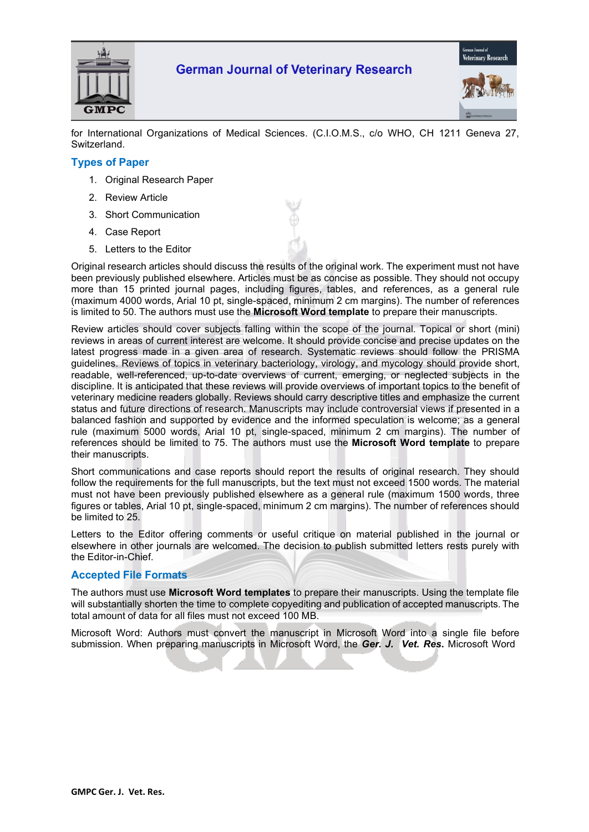



for International Organizations of Medical Sciences. (C.I.O.M.S., c/o WHO, CH 1211 Geneva 27, Switzerland.

## **Types of Paper**

- 1. Original Research Paper
- 2. Review Article
- 3. Short Communication
- 4. Case Report
- 5. Letters to the Editor

Original research articles should discuss the results of the original work. The experiment must not have been previously published elsewhere. Articles must be as concise as possible. They should not occupy more than 15 printed journal pages, including figures, tables, and references, as a general rule (maximum 4000 words, Arial 10 pt, single-spaced, minimum 2 cm margins). The number of references is limited to 50. The authors must use the **Microsoft Word template** to prepare their manuscripts.

Review articles should cover subjects falling within the scope of the journal. Topical or short (mini) reviews in areas of current interest are welcome. It should provide concise and precise updates on the latest progress made in a given area of research. Systematic reviews should follow the PRISMA guidelines. Reviews of topics in veterinary bacteriology, virology, and mycology should provide short, readable, well-referenced, up-to-date overviews of current, emerging, or neglected subjects in the discipline. It is anticipated that these reviews will provide overviews of important topics to the benefit of veterinary medicine readers globally. Reviews should carry descriptive titles and emphasize the current status and future directions of research. Manuscripts may include controversial views if presented in a balanced fashion and supported by evidence and the informed speculation is welcome; as a general rule (maximum 5000 words, Arial 10 pt, single-spaced, minimum 2 cm margins). The number of references should be limited to 75. The authors must use the **Microsoft Word template** to prepare their manuscripts.

Short communications and case reports should report the results of original research. They should follow the requirements for the full manuscripts, but the text must not exceed 1500 words. The material must not have been previously published elsewhere as a general rule (maximum 1500 words, three figures or tables, Arial 10 pt, single-spaced, minimum 2 cm margins). The number of references should be limited to 25.

Letters to the Editor offering comments or useful critique on material published in the journal or elsewhere in other journals are welcomed. The decision to publish submitted letters rests purely with the Editor-in-Chief.

### **Accepted File Formats**

The authors must use **Microsoft Word templates** to prepare their manuscripts. Using the template file will substantially shorten the time to complete copyediting and publication of accepted manuscripts. The total amount of data for all files must not exceed 100 MB.

Microsoft Word: Authors must convert the manuscript in Microsoft Word into a single file before submission. When preparing manuscripts in Microsoft Word, the *Ger. J. Vet. Res***.** Microsoft Word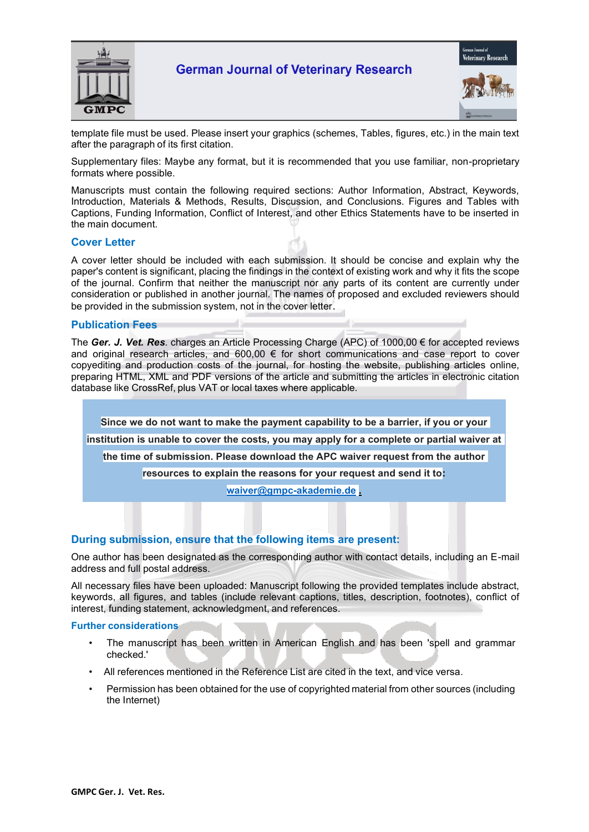



template file must be used. Please insert your graphics (schemes, Tables, figures, etc.) in the main text after the paragraph of its first citation.

Supplementary files: Maybe any format, but it is recommended that you use familiar, non-proprietary formats where possible.

Manuscripts must contain the following required sections: Author Information, Abstract, Keywords, Introduction, Materials & Methods, Results, Discussion, and Conclusions. Figures and Tables with Captions, Funding Information, Conflict of Interest, and other Ethics Statements have to be inserted in the main document.

### **Cover Letter**

A cover letter should be included with each submission. It should be concise and explain why the paper's content is significant, placing the findings in the context of existing work and why it fits the scope of the journal. Confirm that neither the manuscript nor any parts of its content are currently under consideration or published in another journal. The names of proposed and excluded reviewers should be provided in the submission system, not in the cover letter.

#### **Publication Fees**

The *Ger. J. Vet. Res.* charges an Article Processing Charge (APC) of 1000,00 € for accepted reviews and original research articles, and 600,00 € for short communications and case report to cover copyediting and production costs of the journal, for hosting the website, publishing articles online, preparing HTML, XML and PDF versions of the article and submitting the articles in electronic citation database like CrossRef, plus VAT or local taxes where applicable.

**Since we do not want to make the payment capability to be a barrier, if you or your institution is unable to cover the costs, you may apply for a complete or partial waiver at the time of submission. Please download the APC waiver request from the author resources to explain the reasons for your request and send it to: [waiver@gmpc-akademie.de](mailto:waiver@gmpc-akademie.de) .**

### **During submission, ensure that the following items are present:**

One author has been designated as the corresponding author with contact details, including an E-mail address and full postal address.

All necessary files have been uploaded: Manuscript following the provided templates include abstract, keywords, all figures, and tables (include relevant captions, titles, description, footnotes), conflict of interest, funding statement, acknowledgment, and references.

#### **Further considerations**

- The manuscript has been written in American English and has been 'spell and grammar checked.'
- All references mentioned in the Reference List are cited in the text, and vice versa.
- Permission has been obtained for the use of copyrighted material from other sources (including the Internet)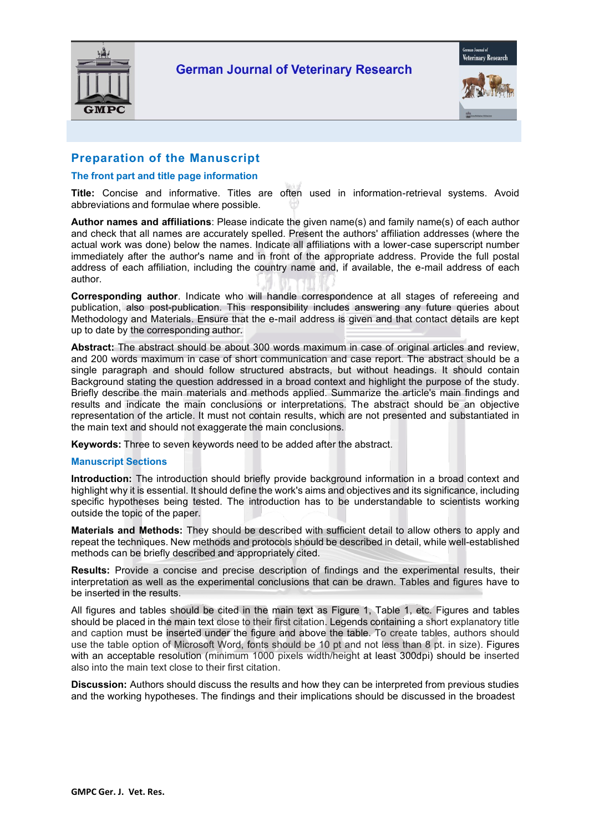



## **Preparation of the Manuscript**

### **The front part and title page information**

**Title:** Concise and informative. Titles are often used in information-retrieval systems. Avoid abbreviations and formulae where possible.

**Author names and affiliations**: Please indicate the given name(s) and family name(s) of each author and check that all names are accurately spelled. Present the authors' affiliation addresses (where the actual work was done) below the names. Indicate all affiliations with a lower-case superscript number immediately after the author's name and in front of the appropriate address. Provide the full postal address of each affiliation, including the country name and, if available, the e-mail address of each author.

**Corresponding author**. Indicate who will handle correspondence at all stages of refereeing and publication, also post-publication. This responsibility includes answering any future queries about Methodology and Materials. Ensure that the e-mail address is given and that contact details are kept up to date by the corresponding author.

**Abstract:** The abstract should be about 300 words maximum in case of original articles and review, and 200 words maximum in case of short communication and case report. The abstract should be a single paragraph and should follow structured abstracts, but without headings. It should contain Background stating the question addressed in a broad context and highlight the purpose of the study. Briefly describe the main materials and methods applied. Summarize the article's main findings and results and indicate the main conclusions or interpretations. The abstract should be an objective representation of the article. It must not contain results, which are not presented and substantiated in the main text and should not exaggerate the main conclusions.

**Keywords:** Three to seven keywords need to be added after the abstract.

### **Manuscript Sections**

**Introduction:** The introduction should briefly provide background information in a broad context and highlight why it is essential. It should define the work's aims and objectives and its significance, including specific hypotheses being tested. The introduction has to be understandable to scientists working outside the topic of the paper.

**Materials and Methods:** They should be described with sufficient detail to allow others to apply and repeat the techniques. New methods and protocols should be described in detail, while well-established methods can be briefly described and appropriately cited.

**Results:** Provide a concise and precise description of findings and the experimental results, their interpretation as well as the experimental conclusions that can be drawn. Tables and figures have to be inserted in the results.

All figures and tables should be cited in the main text as Figure 1, Table 1, etc. Figures and tables should be placed in the main text close to their first citation. Legends containing a short explanatory title and caption must be inserted under the figure and above the table. To create tables, authors should use the table option of Microsoft Word, fonts should be 10 pt and not less than 8 pt. in size). Figures with an acceptable resolution (minimum 1000 pixels width/height at least 300dpi) should be inserted also into the main text close to their first citation.

**Discussion:** Authors should discuss the results and how they can be interpreted from previous studies and the working hypotheses. The findings and their implications should be discussed in the broadest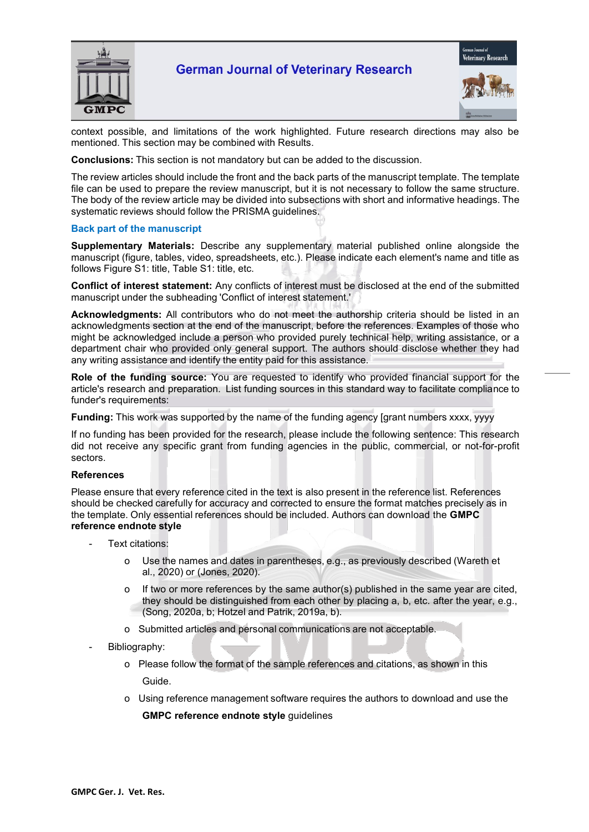



context possible, and limitations of the work highlighted. Future research directions may also be mentioned. This section may be combined with Results.

**Conclusions:** This section is not mandatory but can be added to the discussion.

The review articles should include the front and the back parts of the manuscript template. The template file can be used to prepare the review manuscript, but it is not necessary to follow the same structure. The body of the review article may be divided into subsections with short and informative headings. The systematic reviews should follow the PRISMA guidelines.

#### **Back part of the manuscript**

**Supplementary Materials:** Describe any supplementary material published online alongside the manuscript (figure, tables, video, spreadsheets, etc.). Please indicate each element's name and title as follows Figure S1: title, Table S1: title, etc.

**Conflict of interest statement:** Any conflicts of interest must be disclosed at the end of the submitted manuscript under the subheading 'Conflict of interest statement.'

**Acknowledgments:** All contributors who do not meet the authorship criteria should be listed in an acknowledgments section at the end of the manuscript, before the references. Examples of those who might be acknowledged include a person who provided purely technical help, writing assistance, or a department chair who provided only general support. The authors should disclose whether they had any writing assistance and identify the entity paid for this assistance.

**Role of the funding source:** You are requested to identify who provided financial support for the article's research and preparation. List funding sources in this standard way to facilitate compliance to funder's requirements:

**Funding:** This work was supported by the name of the funding agency [grant numbers xxxx, yyyy

If no funding has been provided for the research, please include the following sentence: This research did not receive any specific grant from funding agencies in the public, commercial, or not-for-profit sectors.

#### **References**

Please ensure that every reference cited in the text is also present in the reference list. References should be checked carefully for accuracy and corrected to ensure the format matches precisely as in the template. Only essential references should be included. Authors can download the **GMPC reference endnote style**

- Text citations:
	- Use the names and dates in parentheses, e.g., as previously described (Wareth et al., 2020) or (Jones, 2020).
	- o If two or more references by the same author(s) published in the same year are cited, they should be distinguished from each other by placing a, b, etc. after the year, e.g., (Song, 2020a, b; Hotzel and Patrik, 2019a, b).
	- Submitted articles and personal communications are not acceptable.
- Bibliography:
	- o Please follow the format of the sample references and citations, as shown in this Guide.
	- o Using reference management software requires the authors to download and use the **GMPC reference endnote style** guidelines